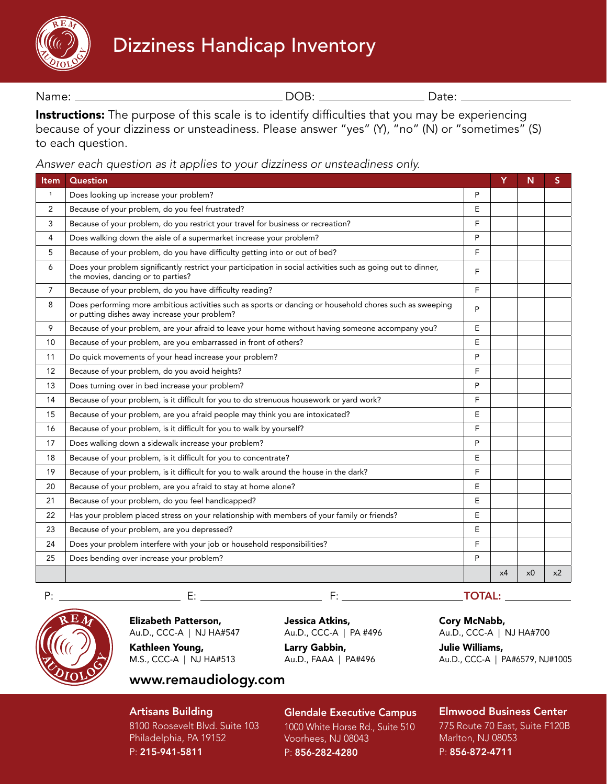# Dizziness Handicap Inventory



Name: 2008: 2008: 2008: 2008: 2008: 2008: 2008: 2010: 2010: 2010: 2010: 2010: 2010: 2010: 2010: 2010: 2010: 20

Instructions: The purpose of this scale is to identify difficulties that you may be experiencing because of your dizziness or unsteadiness. Please answer "yes" (Y), "no" (N) or "sometimes" (S) to each question.

*Answer each question as it applies to your dizziness or unsteadiness only.*

| Item           | Question                                                                                                                                                  |   | Y  | N              | S              |
|----------------|-----------------------------------------------------------------------------------------------------------------------------------------------------------|---|----|----------------|----------------|
| $\mathbf{1}$   | Does looking up increase your problem?                                                                                                                    | P |    |                |                |
| 2              | Because of your problem, do you feel frustrated?                                                                                                          |   |    |                |                |
| 3              | Because of your problem, do you restrict your travel for business or recreation?                                                                          |   |    |                |                |
| 4              | Does walking down the aisle of a supermarket increase your problem?                                                                                       |   |    |                |                |
| 5              | Because of your problem, do you have difficulty getting into or out of bed?                                                                               | F |    |                |                |
| 6              | Does your problem significantly restrict your participation in social activities such as going out to dinner,<br>the movies, dancing or to parties?       | F |    |                |                |
| $\overline{7}$ | Because of your problem, do you have difficulty reading?                                                                                                  | F |    |                |                |
| 8              | Does performing more ambitious activities such as sports or dancing or household chores such as sweeping<br>or putting dishes away increase your problem? | P |    |                |                |
| 9              | Because of your problem, are your afraid to leave your home without having someone accompany you?                                                         | E |    |                |                |
| 10             | Because of your problem, are you embarrassed in front of others?                                                                                          | E |    |                |                |
| 11             | Do quick movements of your head increase your problem?                                                                                                    | P |    |                |                |
| 12             | Because of your problem, do you avoid heights?                                                                                                            | F |    |                |                |
| 13             | Does turning over in bed increase your problem?                                                                                                           | P |    |                |                |
| 14             | Because of your problem, is it difficult for you to do strenuous housework or yard work?                                                                  | F |    |                |                |
| 15             | Because of your problem, are you afraid people may think you are intoxicated?                                                                             | E |    |                |                |
| 16             | Because of your problem, is it difficult for you to walk by yourself?                                                                                     | F |    |                |                |
| 17             | Does walking down a sidewalk increase your problem?                                                                                                       | P |    |                |                |
| 18             | Because of your problem, is it difficult for you to concentrate?                                                                                          | E |    |                |                |
| 19             | Because of your problem, is it difficult for you to walk around the house in the dark?                                                                    | F |    |                |                |
| 20             | Because of your problem, are you afraid to stay at home alone?                                                                                            | E |    |                |                |
| 21             | Because of your problem, do you feel handicapped?                                                                                                         | E |    |                |                |
| 22             | Has your problem placed stress on your relationship with members of your family or friends?                                                               | E |    |                |                |
| 23             | Because of your problem, are you depressed?                                                                                                               | E |    |                |                |
| 24             | Does your problem interfere with your job or household responsibilities?                                                                                  | F |    |                |                |
| 25             | Does bending over increase your problem?                                                                                                                  | P |    |                |                |
|                |                                                                                                                                                           |   | x4 | x <sub>0</sub> | x <sub>2</sub> |



Elizabeth Patterson, Au.D., CCC-A | NJ HA#547 Kathleen Young, M.S., CCC-A | NJ HA#513

Jessica Atkins, Au.D., CCC-A | PA #496

Larry Gabbin, Au.D., FAAA | PA#496 Cory McNabb,

Au.D., CCC-A | NJ HA#700

Julie Williams, Au.D., CCC-A | PA#6579, NJ#1005

Artisans Building

8100 Roosevelt Blvd. Suite 103 Philadelphia, PA 19152 P: 215-941-5811

www.remaudiology.com

### Glendale Executive Campus

1000 White Horse Rd., Suite 510 Voorhees, NJ 08043 P: 856-282-4280

Elmwood Business Center 775 Route 70 East, Suite F120B

Marlton, NJ 08053 P: 856-872-4711